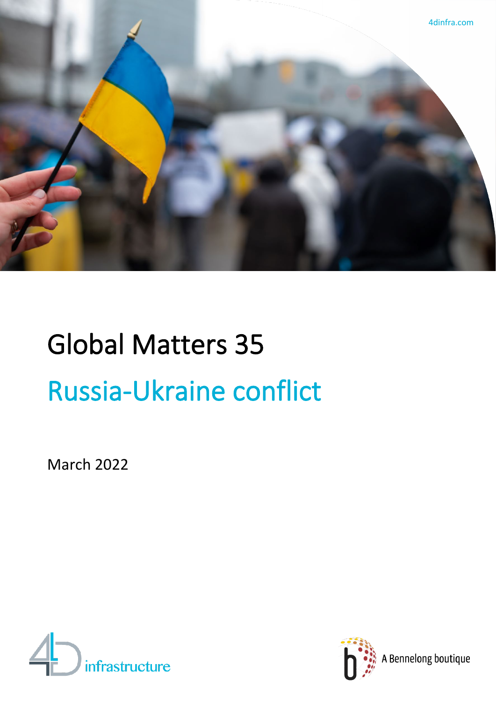

# Global Matters 35 Russia-Ukraine conflict

March 2022





A Bennelong boutique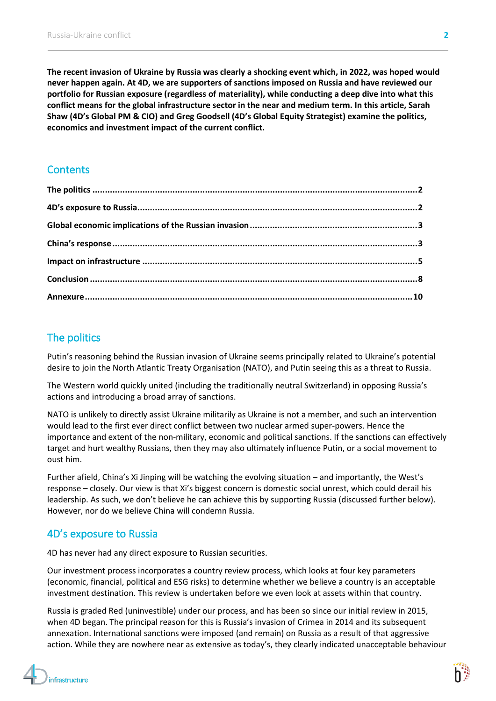**The recent invasion of Ukraine by Russia was clearly a shocking event which, in 2022, was hoped would never happen again. At 4D, we are supporters of sanctions imposed on Russia and have reviewed our portfolio for Russian exposure (regardless of materiality), while conducting a deep dive into what this conflict means for the global infrastructure sector in the near and medium term. In this article, Sarah Shaw (4D's Global PM & CIO) and Greg Goodsell (4D's Global Equity Strategist) examine the politics, economics and investment impact of the current conflict.**

# **Contents**

# <span id="page-1-0"></span>The politics

Putin's reasoning behind the Russian invasion of Ukraine seems principally related to Ukraine's potential desire to join the North Atlantic Treaty Organisation (NATO), and Putin seeing this as a threat to Russia.

The Western world quickly united (including the traditionally neutral Switzerland) in opposing Russia's actions and introducing a broad array of sanctions.

NATO is unlikely to directly assist Ukraine militarily as Ukraine is not a member, and such an intervention would lead to the first ever direct conflict between two nuclear armed super-powers. Hence the importance and extent of the non-military, economic and political sanctions. If the sanctions can effectively target and hurt wealthy Russians, then they may also ultimately influence Putin, or a social movement to oust him.

Further afield, China's Xi Jinping will be watching the evolving situation – and importantly, the West's response – closely. Our view is that Xi's biggest concern is domestic social unrest, which could derail his leadership. As such, we don't believe he can achieve this by supporting Russia (discussed further below). However, nor do we believe China will condemn Russia.

# <span id="page-1-1"></span>4D's exposure to Russia

4D has never had any direct exposure to Russian securities.

Our investment process incorporates a country review process, which looks at four key parameters (economic, financial, political and ESG risks) to determine whether we believe a country is an acceptable investment destination. This review is undertaken before we even look at assets within that country.

Russia is graded Red (uninvestible) under our process, and has been so since our initial review in 2015, when 4D began. The principal reason for this is Russia's invasion of Crimea in 2014 and its subsequent annexation. International sanctions were imposed (and remain) on Russia as a result of that aggressive action. While they are nowhere near as extensive as today's, they clearly indicated unacceptable behaviour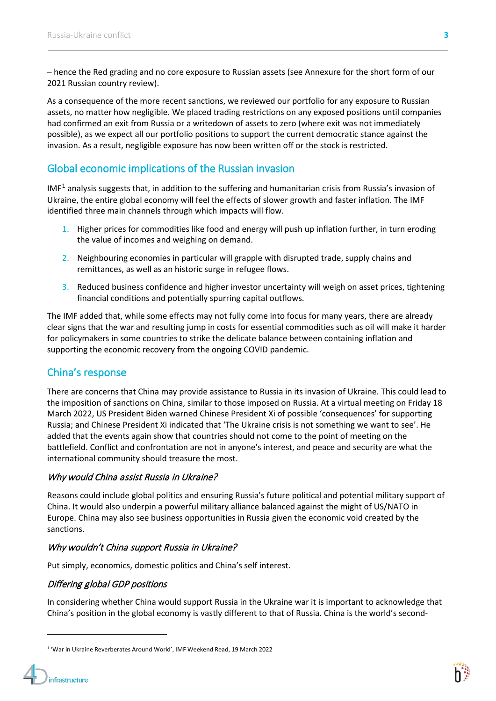– hence the Red grading and no core exposure to Russian assets (see Annexure for the short form of our 2021 Russian country review).

As a consequence of the more recent sanctions, we reviewed our portfolio for any exposure to Russian assets, no matter how negligible. We placed trading restrictions on any exposed positions until companies had confirmed an exit from Russia or a writedown of assets to zero (where exit was not immediately possible), as we expect all our portfolio positions to support the current democratic stance against the invasion. As a result, negligible exposure has now been written off or the stock is restricted.

# <span id="page-2-0"></span>Global economic implications of the Russian invasion

IMF<sup>[1](#page-2-2)</sup> analysis suggests that, in addition to the suffering and humanitarian crisis from Russia's invasion of Ukraine, the entire global economy will feel the effects of slower growth and faster inflation. The IMF identified three main channels through which impacts will flow.

- 1. Higher prices for commodities like food and energy will push up inflation further, in turn eroding the value of incomes and weighing on demand.
- 2. Neighbouring economies in particular will grapple with disrupted trade, supply chains and remittances, as well as an historic surge in refugee flows.
- 3. Reduced business confidence and higher investor uncertainty will weigh on asset prices, tightening financial conditions and potentially spurring capital outflows.

The IMF added that, while some effects may not fully come into focus for many years, there are already clear signs that the war and resulting jump in costs for essential commodities such as oil will make it harder for policymakers in some countries to strike the delicate balance between containing inflation and supporting the economic recovery from the ongoing COVID pandemic.

# <span id="page-2-1"></span>China's response

There are concerns that China may provide assistance to Russia in its invasion of Ukraine. This could lead to the imposition of sanctions on China, similar to those imposed on Russia. At a virtual meeting on Friday 18 March 2022, US President Biden warned Chinese President Xi of possible 'consequences' for supporting Russia; and Chinese President Xi indicated that 'The Ukraine crisis is not something we want to see'. He added that the events again show that countries should not come to the point of meeting on the battlefield. Conflict and confrontation are not in anyone's interest, and peace and security are what the international community should treasure the most.

# Why would China assist Russia in Ukraine?

Reasons could include global politics and ensuring Russia's future political and potential military support of China. It would also underpin a powerful military alliance balanced against the might of US/NATO in Europe. China may also see business opportunities in Russia given the economic void created by the sanctions.

# Why wouldn't China support Russia in Ukraine?

Put simply, economics, domestic politics and China's self interest.

# Differing global GDP positions

In considering whether China would support Russia in the Ukraine war it is important to acknowledge that China's position in the global economy is vastly different to that of Russia. China is the world's second-



<span id="page-2-2"></span><sup>1</sup> 'War in Ukraine Reverberates Around World', IMF Weekend Read, 19 March 2022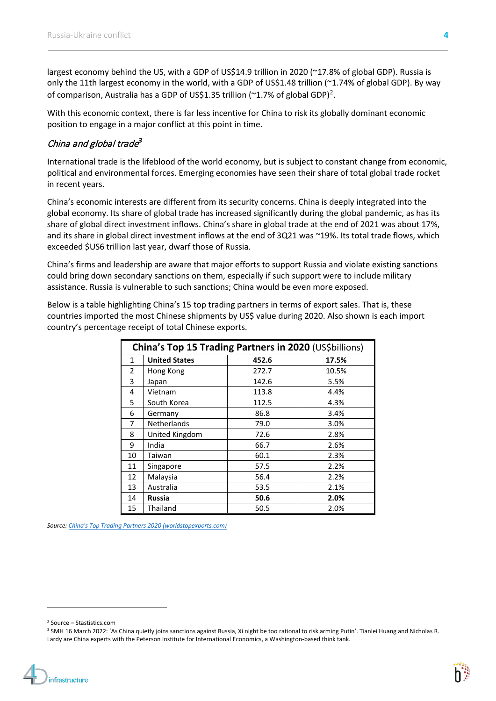largest economy behind the US, with a GDP of US\$14.9 trillion in 2020 (~17.8% of global GDP). Russia is only the 11th largest economy in the world, with a GDP of US\$1.48 trillion (~1.74% of global GDP). By way of comparison, Australia has a GDP of US\$1.35 trillion ( $\textdegree$ 1.7% of global GDP)<sup>[2](#page-3-0)</sup>.

With this economic context, there is far less incentive for China to risk its globally dominant economic position to engage in a major conflict at this point in time.

# China and global trade*[3](#page-3-1)*

International trade is the lifeblood of the world economy, but is subject to constant change from economic, political and environmental forces. Emerging economies have seen their share of total global trade rocket in recent years.

China's economic interests are different from its security concerns. China is deeply integrated into the global economy. Its share of global trade has increased significantly during the global pandemic, as has its share of global direct investment inflows. China's share in global trade at the end of 2021 was about 17%, and its share in global direct investment inflows at the end of 3Q21 was ~19%. Its total trade flows, which exceeded \$US6 trillion last year, dwarf those of Russia.

China's firms and leadership are aware that major efforts to support Russia and violate existing sanctions could bring down secondary sanctions on them, especially if such support were to include military assistance. Russia is vulnerable to such sanctions; China would be even more exposed.

Below is a table highlighting China's 15 top trading partners in terms of export sales. That is, these countries imported the most Chinese shipments by US\$ value during 2020. Also shown is each import country's percentage receipt of total Chinese exports.

| China's Top 15 Trading Partners in 2020 (US\$billions) |                      |       |       |  |  |
|--------------------------------------------------------|----------------------|-------|-------|--|--|
| 1                                                      | <b>United States</b> | 452.6 | 17.5% |  |  |
| $\overline{2}$                                         | Hong Kong            | 272.7 | 10.5% |  |  |
| 3                                                      | Japan                | 142.6 | 5.5%  |  |  |
| 4                                                      | Vietnam              | 113.8 | 4.4%  |  |  |
| 5                                                      | South Korea          | 112.5 | 4.3%  |  |  |
| 6                                                      | Germany              | 86.8  | 3.4%  |  |  |
| 7                                                      | <b>Netherlands</b>   | 79.0  | 3.0%  |  |  |
| 8                                                      | United Kingdom       | 72.6  | 2.8%  |  |  |
| 9                                                      | India                | 66.7  | 2.6%  |  |  |
| 10                                                     | Taiwan               | 60.1  | 2.3%  |  |  |
| 11                                                     | Singapore            | 57.5  | 2.2%  |  |  |
| 12                                                     | Malaysia             | 56.4  | 2.2%  |  |  |
| 13                                                     | Australia            | 53.5  | 2.1%  |  |  |
| 14                                                     | <b>Russia</b>        | 50.6  | 2.0%  |  |  |
| 15                                                     | Thailand             | 50.5  | 2.0%  |  |  |

*Source[: China's Top Trading Partners 2020 \(worldstopexports.com\)](https://www.worldstopexports.com/chinas-top-import-partners/?msclkid=3ac98682a73b11ecb9fc849745648732)*

<span id="page-3-0"></span><sup>2</sup> Source – Stastistics.com

<span id="page-3-1"></span><sup>&</sup>lt;sup>3</sup> SMH 16 March 2022: 'As China quietly joins sanctions against Russia, Xi night be too rational to risk arming Putin'. Tianlei Huang and Nicholas R. Lardy are China experts with the Peterson Institute for International Economics, a Washington-based think tank.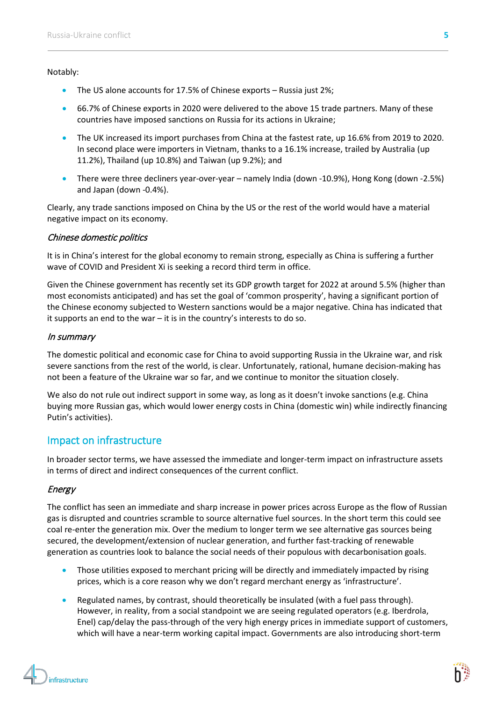## Notably:

- The US alone accounts for 17.5% of Chinese exports Russia just 2%;
- 66.7% of Chinese exports in 2020 were delivered to the above 15 trade partners. Many of these countries have imposed sanctions on Russia for its actions in Ukraine;
- The UK increased its import purchases from China at the fastest rate, up 16.6% from 2019 to 2020. In second place were importers in Vietnam, thanks to a 16.1% increase, trailed by Australia (up 11.2%), Thailand (up 10.8%) and Taiwan (up 9.2%); and
- There were three decliners year-over-year namely India (down -10.9%), Hong Kong (down -2.5%) and Japan (down -0.4%).

Clearly, any trade sanctions imposed on China by the US or the rest of the world would have a material negative impact on its economy.

# Chinese domestic politics

It is in China's interest for the global economy to remain strong, especially as China is suffering a further wave of COVID and President Xi is seeking a record third term in office.

Given the Chinese government has recently set its GDP growth target for 2022 at around 5.5% (higher than most economists anticipated) and has set the goal of 'common prosperity', having a significant portion of the Chinese economy subjected to Western sanctions would be a major negative. China has indicated that it supports an end to the war – it is in the country's interests to do so.

# In summary

The domestic political and economic case for China to avoid supporting Russia in the Ukraine war, and risk severe sanctions from the rest of the world, is clear. Unfortunately, rational, humane decision-making has not been a feature of the Ukraine war so far, and we continue to monitor the situation closely.

We also do not rule out indirect support in some way, as long as it doesn't invoke sanctions (e.g. China buying more Russian gas, which would lower energy costs in China (domestic win) while indirectly financing Putin's activities).

# <span id="page-4-0"></span>Impact on infrastructure

In broader sector terms, we have assessed the immediate and longer-term impact on infrastructure assets in terms of direct and indirect consequences of the current conflict.

# Energy

The conflict has seen an immediate and sharp increase in power prices across Europe as the flow of Russian gas is disrupted and countries scramble to source alternative fuel sources. In the short term this could see coal re-enter the generation mix. Over the medium to longer term we see alternative gas sources being secured, the development/extension of nuclear generation, and further fast-tracking of renewable generation as countries look to balance the social needs of their populous with decarbonisation goals.

- Those utilities exposed to merchant pricing will be directly and immediately impacted by rising prices, which is a core reason why we don't regard merchant energy as 'infrastructure'.
- Regulated names, by contrast, should theoretically be insulated (with a fuel pass through). However, in reality, from a social standpoint we are seeing regulated operators (e.g. Iberdrola, Enel) cap/delay the pass-through of the very high energy prices in immediate support of customers, which will have a near-term working capital impact. Governments are also introducing short-term

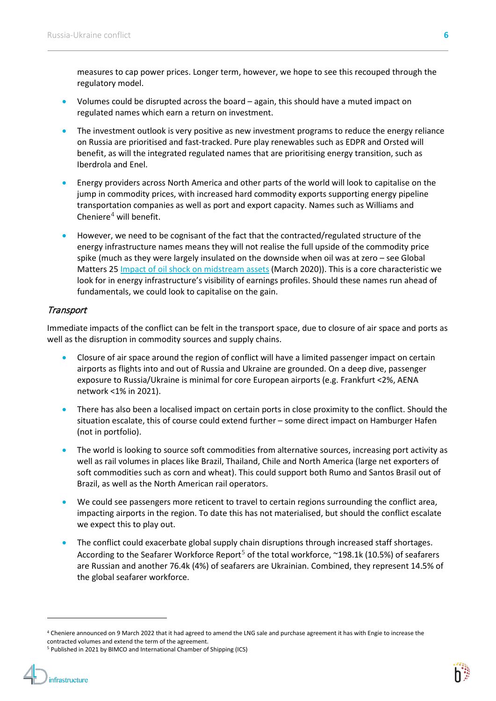measures to cap power prices. Longer term, however, we hope to see this recouped through the regulatory model.

- Volumes could be disrupted across the board again, this should have a muted impact on regulated names which earn a return on investment.
- The investment outlook is very positive as new investment programs to reduce the energy reliance on Russia are prioritised and fast-tracked. Pure play renewables such as EDPR and Orsted will benefit, as will the integrated regulated names that are prioritising energy transition, such as Iberdrola and Enel.
- Energy providers across North America and other parts of the world will look to capitalise on the jump in commodity prices, with increased hard commodity exports supporting energy pipeline transportation companies as well as port and export capacity. Names such as Williams and Cheniere $4$  will benefit.
- However, we need to be cognisant of the fact that the contracted/regulated structure of the energy infrastructure names means they will not realise the full upside of the commodity price spike (much as they were largely insulated on the downside when oil was at zero – see Global Matters 2[5 Impact of oil shock on midstream assets](https://www.4dinfra.com/insights/articles/global-matters-impact-oil-shock-north-american-midstream-assets) (March 2020)). This is a core characteristic we look for in energy infrastructure's visibility of earnings profiles. Should these names run ahead of fundamentals, we could look to capitalise on the gain.

# **Transport**

Immediate impacts of the conflict can be felt in the transport space, due to closure of air space and ports as well as the disruption in commodity sources and supply chains.

- Closure of air space around the region of conflict will have a limited passenger impact on certain airports as flights into and out of Russia and Ukraine are grounded. On a deep dive, passenger exposure to Russia/Ukraine is minimal for core European airports (e.g. Frankfurt <2%, AENA network <1% in 2021).
- There has also been a localised impact on certain ports in close proximity to the conflict. Should the situation escalate, this of course could extend further – some direct impact on Hamburger Hafen (not in portfolio).
- The world is looking to source soft commodities from alternative sources, increasing port activity as well as rail volumes in places like Brazil, Thailand, Chile and North America (large net exporters of soft commodities such as corn and wheat). This could support both Rumo and Santos Brasil out of Brazil, as well as the North American rail operators.
- We could see passengers more reticent to travel to certain regions surrounding the conflict area, impacting airports in the region. To date this has not materialised, but should the conflict escalate we expect this to play out.
- The conflict could exacerbate global supply chain disruptions through increased staff shortages. According to the Seafarer Workforce Report<sup>[5](#page-5-1)</sup> of the total workforce,  $\sim$ 198.1k (10.5%) of seafarers are Russian and another 76.4k (4%) of seafarers are Ukrainian. Combined, they represent 14.5% of the global seafarer workforce.



<span id="page-5-0"></span><sup>4</sup> Cheniere announced on 9 March 2022 that it had agreed to amend the LNG sale and purchase agreement it has with Engie to increase the contracted volumes and extend the term of the agreement.

<span id="page-5-1"></span><sup>&</sup>lt;sup>5</sup> Published in 2021 by BIMCO and International Chamber of Shipping (ICS)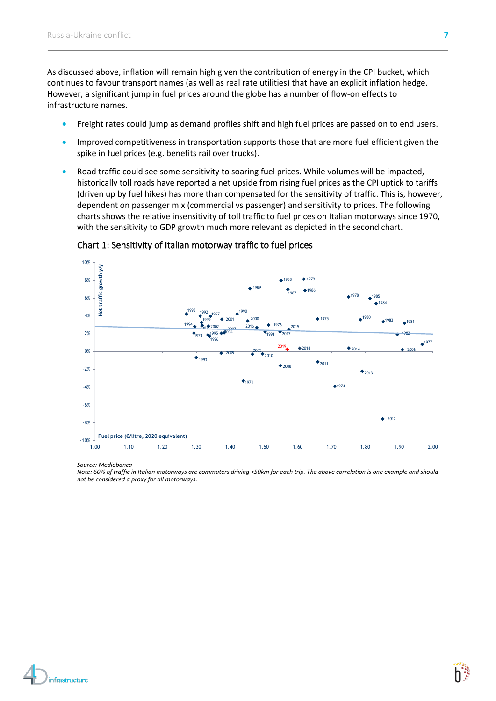As discussed above, inflation will remain high given the contribution of energy in the CPI bucket, which continues to favour transport names (as well as real rate utilities) that have an explicit inflation hedge. However, a significant jump in fuel prices around the globe has a number of flow-on effects to infrastructure names.

- Freight rates could jump as demand profiles shift and high fuel prices are passed on to end users.
- Improved competitiveness in transportation supports those that are more fuel efficient given the spike in fuel prices (e.g. benefits rail over trucks).
- Road traffic could see some sensitivity to soaring fuel prices. While volumes will be impacted, historically toll roads have reported a net upside from rising fuel prices as the CPI uptick to tariffs (driven up by fuel hikes) has more than compensated for the sensitivity of traffic. This is, however, dependent on passenger mix (commercial vs passenger) and sensitivity to prices. The following charts shows the relative insensitivity of toll traffic to fuel prices on Italian motorways since 1970, with the sensitivity to GDP growth much more relevant as depicted in the second chart.



Chart 1: Sensitivity of Italian motorway traffic to fuel prices

*Source: Mediobanca*

*Note: 60% of traffic in Italian motorways are commuters driving <50km for each trip. The above correlation is one example and should not be considered a proxy for all motorways.* 

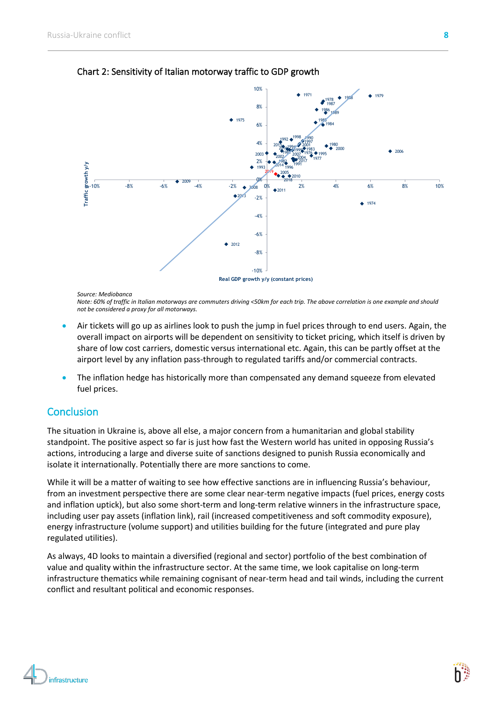

Chart 2: Sensitivity of Italian motorway traffic to GDP growth

*Source: Mediobanca Note: 60% of traffic in Italian motorways are commuters driving <50km for each trip. The above correlation is one example and should not be considered a proxy for all motorways.* 

- Air tickets will go up as airlines look to push the jump in fuel prices through to end users. Again, the overall impact on airports will be dependent on sensitivity to ticket pricing, which itself is driven by share of low cost carriers, domestic versus international etc. Again, this can be partly offset at the airport level by any inflation pass-through to regulated tariffs and/or commercial contracts.
- The inflation hedge has historically more than compensated any demand squeeze from elevated fuel prices.

# <span id="page-7-0"></span>**Conclusion**

The situation in Ukraine is, above all else, a major concern from a humanitarian and global stability standpoint. The positive aspect so far is just how fast the Western world has united in opposing Russia's actions, introducing a large and diverse suite of sanctions designed to punish Russia economically and isolate it internationally. Potentially there are more sanctions to come.

While it will be a matter of waiting to see how effective sanctions are in influencing Russia's behaviour, from an investment perspective there are some clear near-term negative impacts (fuel prices, energy costs and inflation uptick), but also some short-term and long-term relative winners in the infrastructure space, including user pay assets (inflation link), rail (increased competitiveness and soft commodity exposure), energy infrastructure (volume support) and utilities building for the future (integrated and pure play regulated utilities).

As always, 4D looks to maintain a diversified (regional and sector) portfolio of the best combination of value and quality within the infrastructure sector. At the same time, we look capitalise on long-term infrastructure thematics while remaining cognisant of near-term head and tail winds, including the current conflict and resultant political and economic responses.

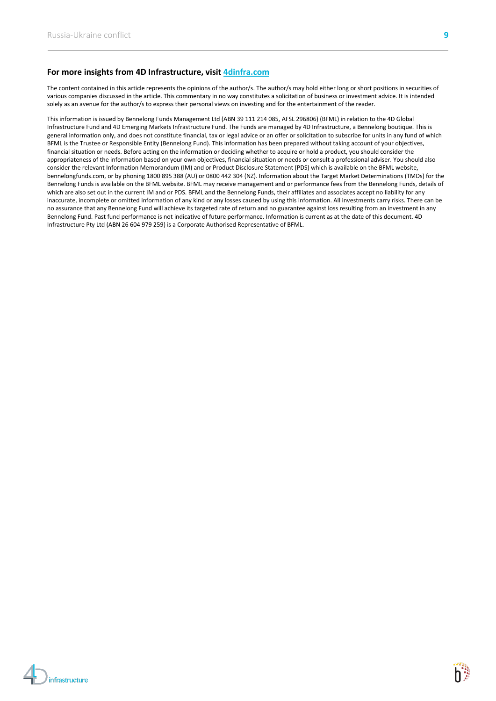### **For more insights from 4D Infrastructure, visit [4dinfra.com](http://www.4dinfra.com/)**

The content contained in this article represents the opinions of the author/s. The author/s may hold either long or short positions in securities of various companies discussed in the article. This commentary in no way constitutes a solicitation of business or investment advice. It is intended solely as an avenue for the author/s to express their personal views on investing and for the entertainment of the reader.

This information is issued by Bennelong Funds Management Ltd (ABN 39 111 214 085, AFSL 296806) (BFML) in relation to the 4D Global Infrastructure Fund and 4D Emerging Markets Infrastructure Fund. The Funds are managed by 4D Infrastructure, a Bennelong boutique. This is general information only, and does not constitute financial, tax or legal advice or an offer or solicitation to subscribe for units in any fund of which BFML is the Trustee or Responsible Entity (Bennelong Fund). This information has been prepared without taking account of your objectives, financial situation or needs. Before acting on the information or deciding whether to acquire or hold a product, you should consider the appropriateness of the information based on your own objectives, financial situation or needs or consult a professional adviser. You should also consider the relevant Information Memorandum (IM) and or Product Disclosure Statement (PDS) which is available on the BFML website, bennelongfunds.com, or by phoning 1800 895 388 (AU) or 0800 442 304 (NZ). Information about the Target Market Determinations (TMDs) for the Bennelong Funds is available on the BFML website. BFML may receive management and or performance fees from the Bennelong Funds, details of which are also set out in the current IM and or PDS. BFML and the Bennelong Funds, their affiliates and associates accept no liability for any inaccurate, incomplete or omitted information of any kind or any losses caused by using this information. All investments carry risks. There can be no assurance that any Bennelong Fund will achieve its targeted rate of return and no guarantee against loss resulting from an investment in any Bennelong Fund. Past fund performance is not indicative of future performance. Information is current as at the date of this document. 4D Infrastructure Pty Ltd (ABN 26 604 979 259) is a Corporate Authorised Representative of BFML.

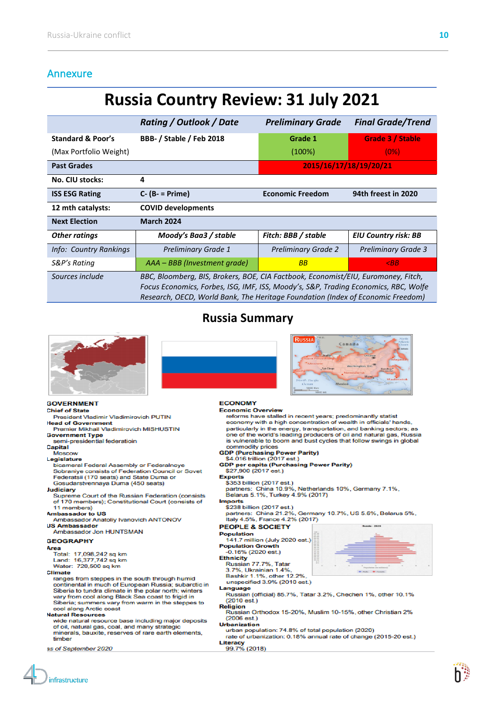# <span id="page-9-0"></span>Annexure

# **Russia Country Review: 31 July 2021**

|                              | <b>Rating / Outlook / Date</b>                                                                                                                                                                                                                              | <b>Preliminary Grade</b>   | <b>Final Grade/Trend</b>    |
|------------------------------|-------------------------------------------------------------------------------------------------------------------------------------------------------------------------------------------------------------------------------------------------------------|----------------------------|-----------------------------|
| <b>Standard &amp; Poor's</b> | <b>BBB- / Stable / Feb 2018</b>                                                                                                                                                                                                                             | Grade 1                    | Grade 3 / Stable            |
| (Max Portfolio Weight)       |                                                                                                                                                                                                                                                             | $(100\%)$                  | (0%)                        |
| <b>Past Grades</b>           |                                                                                                                                                                                                                                                             | 2015/16/17/18/19/20/21     |                             |
| No. CIU stocks:              | 4                                                                                                                                                                                                                                                           |                            |                             |
| <b>ISS ESG Rating</b>        | $C - (B - P$ rime)                                                                                                                                                                                                                                          | <b>Economic Freedom</b>    | 94th freest in 2020         |
| 12 mth catalysts:            | <b>COVID developments</b>                                                                                                                                                                                                                                   |                            |                             |
| <b>Next Election</b>         | <b>March 2024</b>                                                                                                                                                                                                                                           |                            |                             |
| <b>Other ratings</b>         | Moody's Baa3 / stable                                                                                                                                                                                                                                       | Fitch: BBB / stable        | <b>EIU Country risk: BB</b> |
| Info: Country Rankings       | <b>Preliminary Grade 1</b>                                                                                                                                                                                                                                  | <b>Preliminary Grade 2</b> | <b>Preliminary Grade 3</b>  |
| S&P's Rating                 | AAA – BBB (Investment grade)                                                                                                                                                                                                                                | <b>BB</b>                  | $\triangle$ BB              |
| Sources include              | BBC, Bloomberg, BIS, Brokers, BOE, CIA Factbook, Economist/EIU, Euromoney, Fitch,<br>Focus Economics, Forbes, ISG, IMF, ISS, Moody's, S&P, Trading Economics, RBC, Wolfe<br>Research, OECD, World Bank, The Heritage Foundation (Index of Economic Freedom) |                            |                             |

# **Russia Summary**



### **GOVERNMENT**

### **Chief of State**

- President Vladimir Vladimirovich PUTIN **Head of Government**
- Premier Mikhail Vladimirovich MISHUSTIN **Government Type**
- semi-presidential federatioin Capital

### Moscow

- Legislature
- bicameral Federal Assembly or Federalnoye Sobraniye consists of Federation Council or Sovet Federatsii (170 seats) and State Duma or Gosudarstvennaya Duma (450 seats)

### Judiciary

Supreme Court of the Russian Federation (consists of 170 members); Constitutional Court (consists of 11 members)

### **Ambassador to US**

- Ambassador Anatoliy Ivanovich ANTONOV **US Ambassador**
- Ambassador Jon HUNTSMAN

### **GEOGRAPHY**

- Area
- rea<br>Total: 17,098,242 sq km<br>Land: 16,377,742 sq km
- Water: 720,500 sq km

### **Climate**

ranges from steppes in the south through humid continental in much of European Russia; subarctic in Siberia to tundra climate in the polar north; winters<br>vary from cool along Black Sea coast to frigid in Siberia; summers vary from warm in the steppes to cool along Arctic coast

### **Natural Resources**

wide natural resource base including major deposits of oil, natural gas, coal, and many strategic minerals, bauxite, reserves of rare earth elements, timber

as of September 2020

# **RUSSIA** Can

### **ECONOMY**



- rate of urbanization: 0.18% annual rate of change (2015-20 est.) Literacy
- 99.7% (2018)